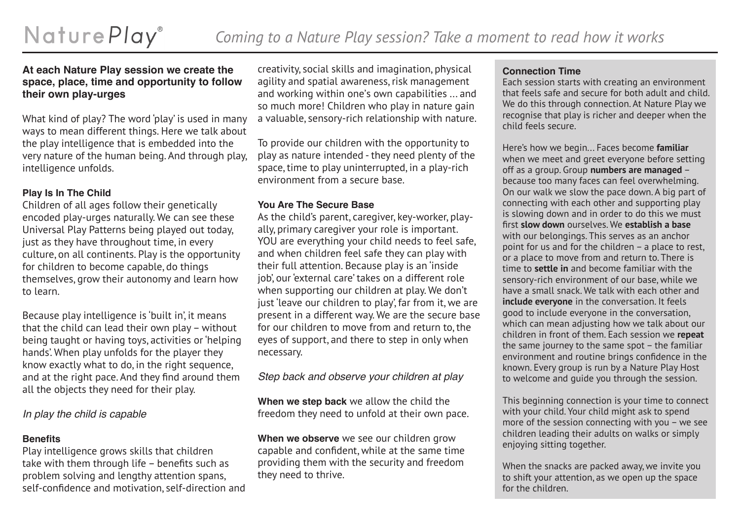### **At each Nature Play session we create the space, place, time and opportunity to follow their own play-urges**

What kind of play? The word 'play' is used in many ways to mean different things. Here we talk about the play intelligence that is embedded into the very nature of the human being. And through play, intelligence unfolds.

## **Play Is In The Child**

Children of all ages follow their genetically encoded play-urges naturally. We can see these Universal Play Patterns being played out today, just as they have throughout time, in every culture, on all continents. Play is the opportunity for children to become capable, do things themselves, grow their autonomy and learn how to learn.

Because play intelligence is 'built in', it means that the child can lead their own play – without being taught or having toys, activities or 'helping hands'. When play unfolds for the player they know exactly what to do, in the right sequence, and at the right pace. And they find around them all the objects they need for their play.

# *In play the child is capable*

## **Benefits**

Play intelligence grows skills that children take with them through life – benefits such as problem solving and lengthy attention spans, self-confidence and motivation, self-direction and creativity, social skills and imagination, physical agility and spatial awareness, risk management and working within one's own capabilities ... and so much more! Children who play in nature gain a valuable, sensory-rich relationship with nature.

To provide our children with the opportunity to play as nature intended - they need plenty of the space, time to play uninterrupted, in a play-rich environment from a secure base.

# **You Are The Secure Base**

As the child's parent, caregiver, key-worker, playally, primary caregiver your role is important. YOU are everything your child needs to feel safe, and when children feel safe they can play with their full attention. Because play is an 'inside job', our 'external care' takes on a different role when supporting our children at play. We don't just 'leave our children to play', far from it, we are present in a different way. We are the secure base for our children to move from and return to, the eyes of support, and there to step in only when necessary.

*Step back and observe your children at play*

**When we step back** we allow the child the freedom they need to unfold at their own pace.

**When we observe** we see our children grow capable and confident, while at the same time providing them with the security and freedom they need to thrive.

### **Connection Time**

Each session starts with creating an environment that feels safe and secure for both adult and child. We do this through connection. At Nature Play we recognise that play is richer and deeper when the child feels secure.

Here's how we begin... Faces become **familiar**  when we meet and greet everyone before setting off as a group. Group **numbers are managed** – because too many faces can feel overwhelming. On our walk we slow the pace down. A big part of connecting with each other and supporting play is slowing down and in order to do this we must first **slow down** ourselves. We **establish a base** with our belongings. This serves as an anchor point for us and for the children – a place to rest, or a place to move from and return to. There is time to **settle in** and become familiar with the sensory-rich environment of our base, while we have a small snack. We talk with each other and **include everyone** in the conversation. It feels good to include everyone in the conversation, which can mean adjusting how we talk about our children in front of them. Each session we **repeat**  the same journey to the same spot – the familiar environment and routine brings confidence in the known. Every group is run by a Nature Play Host to welcome and guide you through the session.

This beginning connection is your time to connect with your child. Your child might ask to spend more of the session connecting with you – we see children leading their adults on walks or simply enjoying sitting together.

When the snacks are packed away, we invite you to shift your attention, as we open up the space for the children.